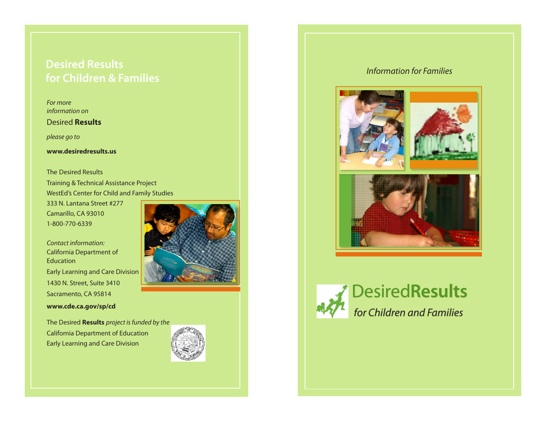## *Information for Families* **Desired Results for Children & Families**

*For more information on*

## Desired **Results**

*please go to*

## **www.desiredresults.us**

The Desired Results Training & Technical Assistance Project WestEd's Center for Child and Family Studies

333 N. Lantana Street #277 Camarillo, CA 93010 1-800-770-6339

*Contact information:* California Department of Education Early Learning and Care Division 1430 N. Street, Suite 3410 Sacramento, CA 95814 **www.cde.ca.gov/sp/cd**

The Desired **Results** *project is funded by the* California Department of Education Early Learning and Care Division